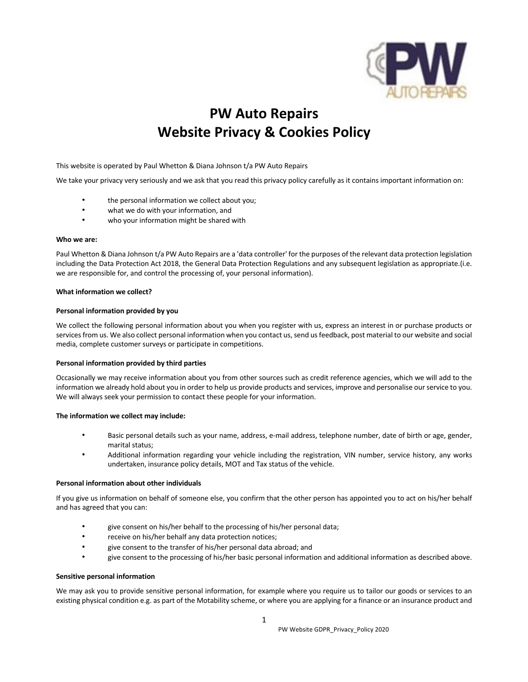

# **PW Auto Repairs Website Privacy & Cookies Policy**

This website is operated by Paul Whetton & Diana Johnson t/a PW Auto Repairs

We take your privacy very seriously and we ask that you read this privacy policy carefully as it contains important information on:

- the personal information we collect about you;
- what we do with your information, and
- who your information might be shared with

# **Who we are:**

Paul Whetton & Diana Johnson t/a PW Auto Repairs are a 'data controller' for the purposes of the relevant data protection legislation including the Data Protection Act 2018, the General Data Protection Regulations and any subsequent legislation as appropriate.(i.e. we are responsible for, and control the processing of, your personal information).

## **What information we collect?**

## **Personal information provided by you**

We collect the following personal information about you when you register with us, express an interest in or purchase products or services from us. We also collect personal information when you contact us, send us feedback, post material to our website and social media, complete customer surveys or participate in competitions.

# **Personal information provided by third parties**

Occasionally we may receive information about you from other sources such as credit reference agencies, which we will add to the information we already hold about you in order to help us provide products and services, improve and personalise our service to you. We will always seek your permission to contact these people for your information.

# **The information we collect may include:**

- Basic personal details such as your name, address, e-mail address, telephone number, date of birth or age, gender, marital status;
- Additional information regarding your vehicle including the registration, VIN number, service history, any works undertaken, insurance policy details, MOT and Tax status of the vehicle.

# **Personal information about other individuals**

If you give us information on behalf of someone else, you confirm that the other person has appointed you to act on his/her behalf and has agreed that you can:

- give consent on his/her behalf to the processing of his/her personal data;
- receive on his/her behalf any data protection notices;
- give consent to the transfer of his/her personal data abroad; and
- give consent to the processing of his/her basic personal information and additional information as described above.

# **Sensitive personal information**

We may ask you to provide sensitive personal information, for example where you require us to tailor our goods or services to an existing physical condition e.g. as part of the Motability scheme, or where you are applying for a finance or an insurance product and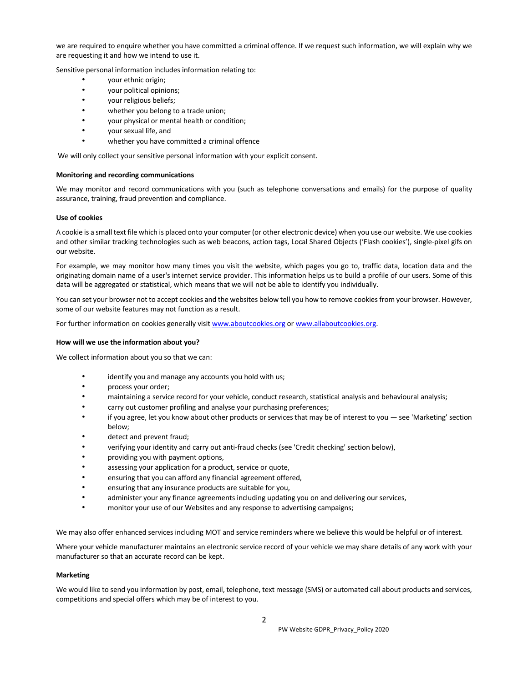we are required to enquire whether you have committed a criminal offence. If we request such information, we will explain why we are requesting it and how we intend to use it.

Sensitive personal information includes information relating to:

- your ethnic origin;
- your political opinions;
- your religious beliefs;
- whether you belong to a trade union;
- your physical or mental health or condition;
- your sexual life, and
- whether you have committed a criminal offence

We will only collect your sensitive personal information with your explicit consent.

## **Monitoring and recording communications**

We may monitor and record communications with you (such as telephone conversations and emails) for the purpose of quality assurance, training, fraud prevention and compliance.

#### **Use of cookies**

A cookie is a small text file which is placed onto your computer (or other electronic device) when you use our website. We use cookies and other similar tracking technologies such as web beacons, action tags, Local Shared Objects ('Flash cookies'), single-pixel gifs on our website.

For example, we may monitor how many times you visit the website, which pages you go to, traffic data, location data and the originating domain name of a user's internet service provider. This information helps us to build a profile of our users. Some of this data will be aggregated or statistical, which means that we will not be able to identify you individually.

You can set your browser not to accept cookies and the websites below tell you how to remove cookies from your browser. However, some of our website features may not function as a result.

For further information on cookies generally visit www.aboutcookies.org or www.allaboutcookies.org.

#### **How will we use the information about you?**

We collect information about you so that we can:

- identify you and manage any accounts you hold with us;
- process your order;
- maintaining a service record for your vehicle, conduct research, statistical analysis and behavioural analysis;
- carry out customer profiling and analyse your purchasing preferences;
- if you agree, let you know about other products or services that may be of interest to you see 'Marketing' section below;
- detect and prevent fraud;
- verifying your identity and carry out anti-fraud checks (see 'Credit checking' section below),
- providing you with payment options,
- assessing your application for a product, service or quote,
- ensuring that you can afford any financial agreement offered,
- ensuring that any insurance products are suitable for you,
- administer your any finance agreements including updating you on and delivering our services,
- monitor your use of our Websites and any response to advertising campaigns;

We may also offer enhanced services including MOT and service reminders where we believe this would be helpful or of interest.

Where your vehicle manufacturer maintains an electronic service record of your vehicle we may share details of any work with your manufacturer so that an accurate record can be kept.

#### **Marketing**

We would like to send you information by post, email, telephone, text message (SMS) or automated call about products and services, competitions and special offers which may be of interest to you.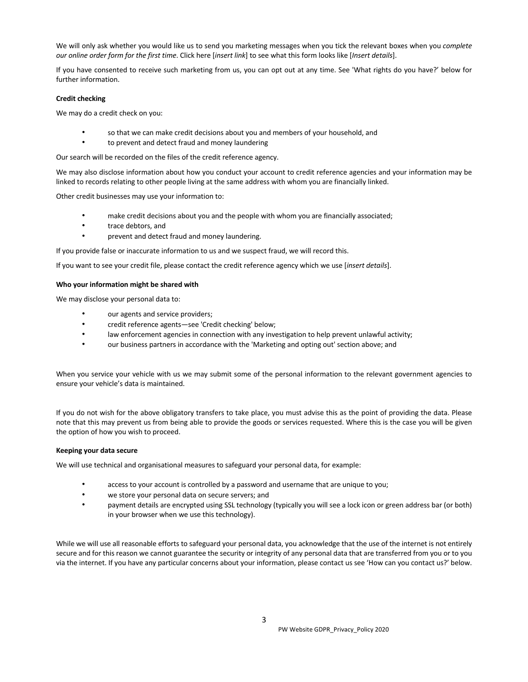We will only ask whether you would like us to send you marketing messages when you tick the relevant boxes when you *complete our online order form for the first time*. Click here [*insert link*] to see what this form looks like [*Insert details*].

If you have consented to receive such marketing from us, you can opt out at any time. See 'What rights do you have?' below for further information.

# **Credit checking**

We may do a credit check on you:

- so that we can make credit decisions about you and members of your household, and
- to prevent and detect fraud and money laundering

Our search will be recorded on the files of the credit reference agency.

We may also disclose information about how you conduct your account to credit reference agencies and your information may be linked to records relating to other people living at the same address with whom you are financially linked.

Other credit businesses may use your information to:

- make credit decisions about you and the people with whom you are financially associated;
- trace debtors, and
- prevent and detect fraud and money laundering.

If you provide false or inaccurate information to us and we suspect fraud, we will record this.

If you want to see your credit file, please contact the credit reference agency which we use [*insert details*].

# **Who your information might be shared with**

We may disclose your personal data to:

- our agents and service providers;
- credit reference agents—see 'Credit checking' below;
- law enforcement agencies in connection with any investigation to help prevent unlawful activity;
- our business partners in accordance with the 'Marketing and opting out' section above; and

When you service your vehicle with us we may submit some of the personal information to the relevant government agencies to ensure your vehicle's data is maintained.

If you do not wish for the above obligatory transfers to take place, you must advise this as the point of providing the data. Please note that this may prevent us from being able to provide the goods or services requested. Where this is the case you will be given the option of how you wish to proceed.

# **Keeping your data secure**

We will use technical and organisational measures to safeguard your personal data, for example:

- access to your account is controlled by a password and username that are unique to you;
- we store your personal data on secure servers; and
- payment details are encrypted using SSL technology (typically you will see a lock icon or green address bar (or both) in your browser when we use this technology).

While we will use all reasonable efforts to safeguard your personal data, you acknowledge that the use of the internet is not entirely secure and for this reason we cannot guarantee the security or integrity of any personal data that are transferred from you or to you via the internet. If you have any particular concerns about your information, please contact us see 'How can you contact us?' below.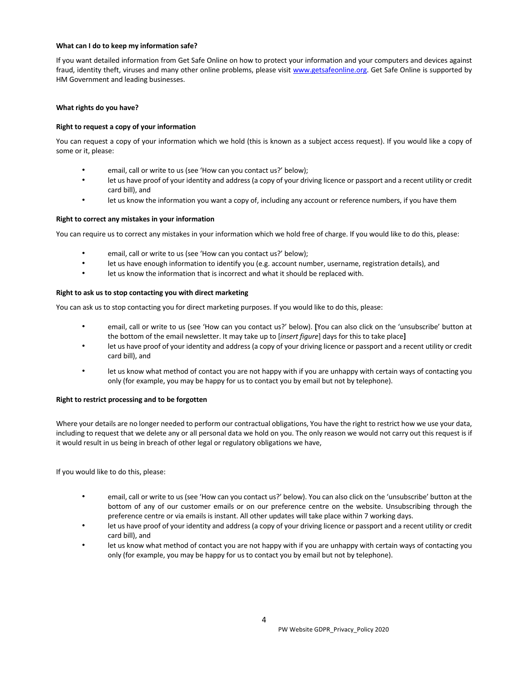# **What can I do to keep my information safe?**

If you want detailed information from Get Safe Online on how to protect your information and your computers and devices against fraud, identity theft, viruses and many other online problems, please visit www.getsafeonline.org. Get Safe Online is supported by HM Government and leading businesses.

# **What rights do you have?**

# **Right to request a copy of your information**

You can request a copy of your information which we hold (this is known as a subject access request). If you would like a copy of some or it, please:

- email, call or write to us (see 'How can you contact us?' below);
- let us have proof of your identity and address (a copy of your driving licence or passport and a recent utility or credit card bill), and
- let us know the information you want a copy of, including any account or reference numbers, if you have them

# **Right to correct any mistakes in your information**

You can require us to correct any mistakes in your information which we hold free of charge. If you would like to do this, please:

- email, call or write to us (see 'How can you contact us?' below);
- let us have enough information to identify you (e.g. account number, username, registration details), and
- let us know the information that is incorrect and what it should be replaced with.

# **Right to ask us to stop contacting you with direct marketing**

You can ask us to stop contacting you for direct marketing purposes. If you would like to do this, please:

- email, call or write to us (see 'How can you contact us?' below). **[**You can also click on the 'unsubscribe' button at the bottom of the email newsletter. It may take up to [*insert figure*] days for this to take place**]**
- let us have proof of your identity and address (a copy of your driving licence or passport and a recent utility or credit card bill), and
- let us know what method of contact you are not happy with if you are unhappy with certain ways of contacting you only (for example, you may be happy for us to contact you by email but not by telephone).

# **Right to restrict processing and to be forgotten**

Where your details are no longer needed to perform our contractual obligations, You have the right to restrict how we use your data, including to request that we delete any or all personal data we hold on you. The only reason we would not carry out this request is if it would result in us being in breach of other legal or regulatory obligations we have,

If you would like to do this, please:

- email, call or write to us (see 'How can you contact us?' below). You can also click on the 'unsubscribe' button at the bottom of any of our customer emails or on our preference centre on the website. Unsubscribing through the preference centre or via emails is instant. All other updates will take place within 7 working days.
- let us have proof of your identity and address (a copy of your driving licence or passport and a recent utility or credit card bill), and
- let us know what method of contact you are not happy with if you are unhappy with certain ways of contacting you only (for example, you may be happy for us to contact you by email but not by telephone).